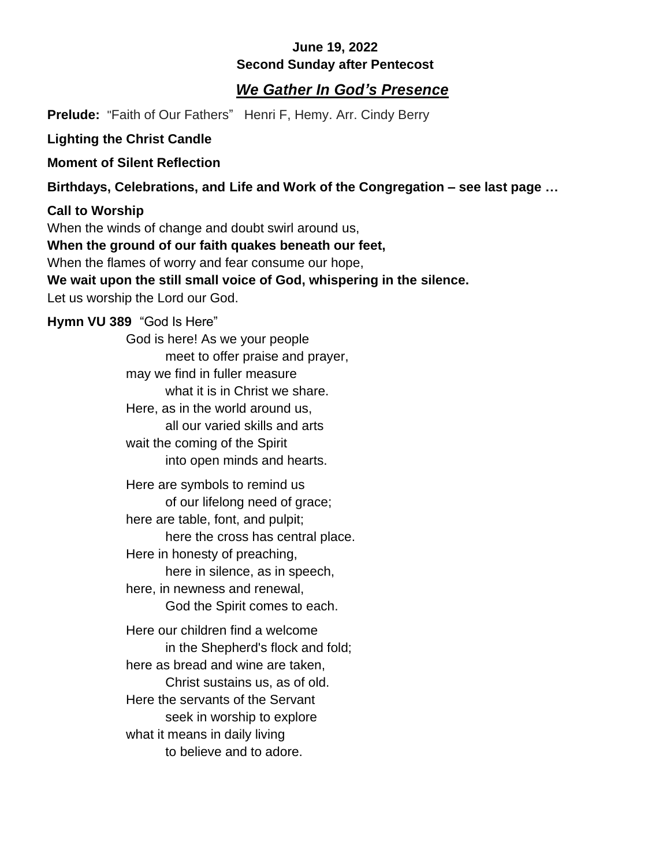## **June 19, 2022 Second Sunday after Pentecost**

## *We Gather In God's Presence*

**Prelude:** "Faith of Our Fathers" Henri F, Hemy. Arr. Cindy Berry

**Lighting the Christ Candle**

**Moment of Silent Reflection**

**Birthdays, Celebrations, and Life and Work of the Congregation – see last page …**

#### **Call to Worship**

When the winds of change and doubt swirl around us, **When the ground of our faith quakes beneath our feet,** When the flames of worry and fear consume our hope, **We wait upon the still small voice of God, whispering in the silence.** Let us worship the Lord our God.

## **Hymn VU 389** "God Is Here"

God is here! As we your people meet to offer praise and prayer, may we find in fuller measure what it is in Christ we share. Here, as in the world around us, all our varied skills and arts wait the coming of the Spirit into open minds and hearts.

Here are symbols to remind us of our lifelong need of grace; here are table, font, and pulpit; here the cross has central place. Here in honesty of preaching, here in silence, as in speech, here, in newness and renewal, God the Spirit comes to each. Here our children find a welcome in the Shepherd's flock and fold; here as bread and wine are taken, Christ sustains us, as of old. Here the servants of the Servant seek in worship to explore what it means in daily living to believe and to adore.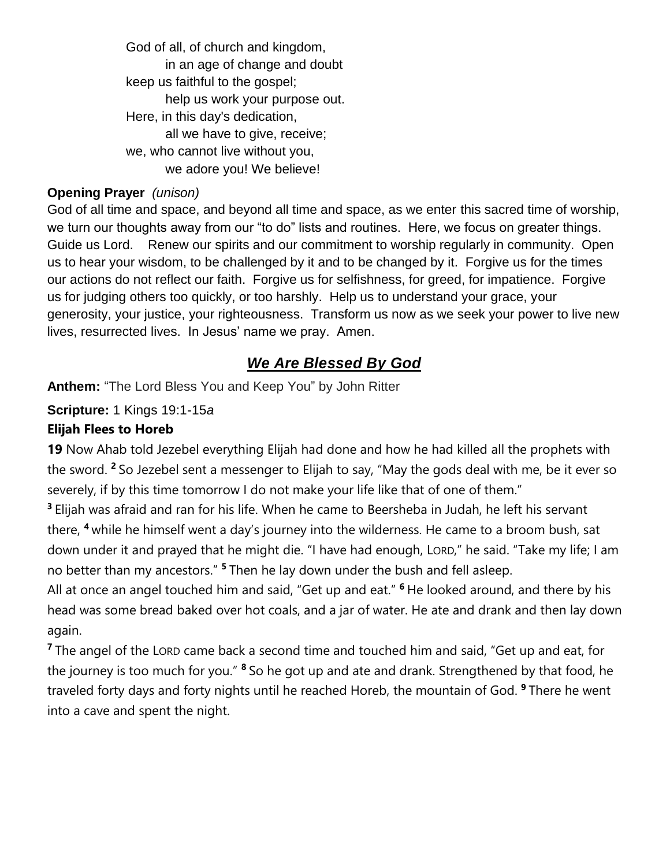God of all, of church and kingdom, in an age of change and doubt keep us faithful to the gospel; help us work your purpose out. Here, in this day's dedication, all we have to give, receive; we, who cannot live without you, we adore you! We believe!

#### **Opening Prayer** *(unison)*

God of all time and space, and beyond all time and space, as we enter this sacred time of worship, we turn our thoughts away from our "to do" lists and routines. Here, we focus on greater things. Guide us Lord. Renew our spirits and our commitment to worship regularly in community. Open us to hear your wisdom, to be challenged by it and to be changed by it. Forgive us for the times our actions do not reflect our faith. Forgive us for selfishness, for greed, for impatience. Forgive us for judging others too quickly, or too harshly. Help us to understand your grace, your generosity, your justice, your righteousness. Transform us now as we seek your power to live new lives, resurrected lives. In Jesus' name we pray. Amen.

## *We Are Blessed By God*

**Anthem:** "The Lord Bless You and Keep You" by John Ritter

**Scripture:** 1 Kings 19:1-15*a*

#### **Elijah Flees to Horeb**

**19** Now Ahab told Jezebel everything Elijah had done and how he had killed all the prophets with the sword. **<sup>2</sup>** So Jezebel sent a messenger to Elijah to say, "May the gods deal with me, be it ever so severely, if by this time tomorrow I do not make your life like that of one of them."

**3** Elijah was afraid and ran for his life. When he came to Beersheba in Judah, he left his servant there, **<sup>4</sup>** while he himself went a day's journey into the wilderness. He came to a broom bush, sat down under it and prayed that he might die. "I have had enough, LORD," he said. "Take my life; I am no better than my ancestors." **<sup>5</sup>** Then he lay down under the bush and fell asleep.

All at once an angel touched him and said, "Get up and eat." **<sup>6</sup>** He looked around, and there by his head was some bread baked over hot coals, and a jar of water. He ate and drank and then lay down again.

**<sup>7</sup>** The angel of the LORD came back a second time and touched him and said, "Get up and eat, for the journey is too much for you." **<sup>8</sup>** So he got up and ate and drank. Strengthened by that food, he traveled forty days and forty nights until he reached Horeb, the mountain of God. **<sup>9</sup>** There he went into a cave and spent the night.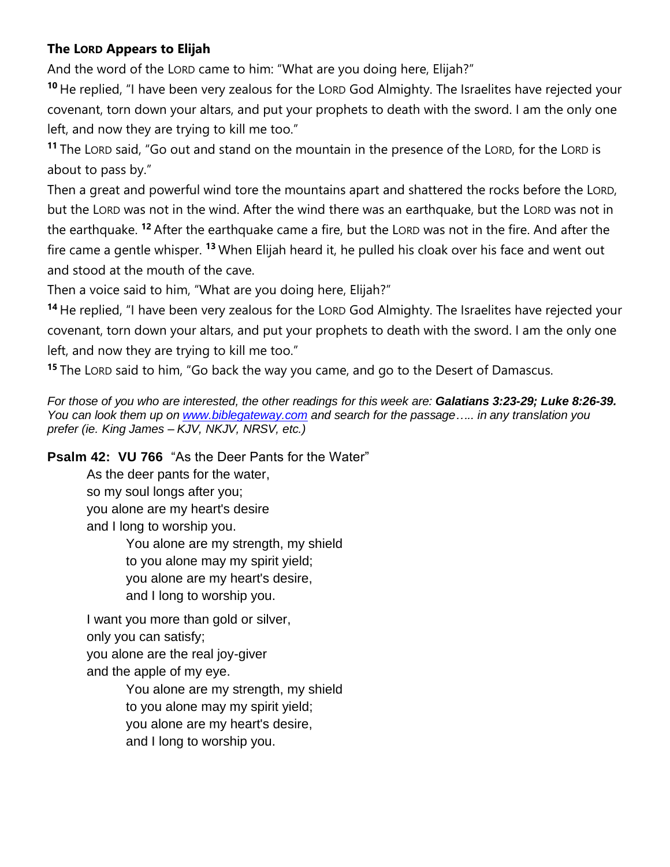## **The LORD Appears to Elijah**

And the word of the LORD came to him: "What are you doing here, Elijah?"

**<sup>10</sup>** He replied, "I have been very zealous for the LORD God Almighty. The Israelites have rejected your covenant, torn down your altars, and put your prophets to death with the sword. I am the only one left, and now they are trying to kill me too."

**<sup>11</sup>** The LORD said, "Go out and stand on the mountain in the presence of the LORD, for the LORD is about to pass by."

Then a great and powerful wind tore the mountains apart and shattered the rocks before the LORD, but the LORD was not in the wind. After the wind there was an earthquake, but the LORD was not in the earthquake. **<sup>12</sup>** After the earthquake came a fire, but the LORD was not in the fire. And after the fire came a gentle whisper. **<sup>13</sup>** When Elijah heard it, he pulled his cloak over his face and went out and stood at the mouth of the cave.

Then a voice said to him, "What are you doing here, Elijah?"

**<sup>14</sup>** He replied, "I have been very zealous for the LORD God Almighty. The Israelites have rejected your covenant, torn down your altars, and put your prophets to death with the sword. I am the only one left, and now they are trying to kill me too."

**<sup>15</sup>** The LORD said to him, "Go back the way you came, and go to the Desert of Damascus.

*For those of you who are interested, the other readings for this week are: Galatians 3:23-29; Luke 8:26-39. You can look them up on [www.biblegateway.com](about:blank) and search for the passage….. in any translation you prefer (ie. King James – KJV, NKJV, NRSV, etc.)*

**Psalm 42: VU 766** "As the Deer Pants for the Water"

As the deer pants for the water, so my soul longs after you; you alone are my heart's desire and I long to worship you.

> You alone are my strength, my shield to you alone may my spirit yield; you alone are my heart's desire, and I long to worship you.

I want you more than gold or silver, only you can satisfy; you alone are the real joy-giver

and the apple of my eye.

You alone are my strength, my shield to you alone may my spirit yield; you alone are my heart's desire, and I long to worship you.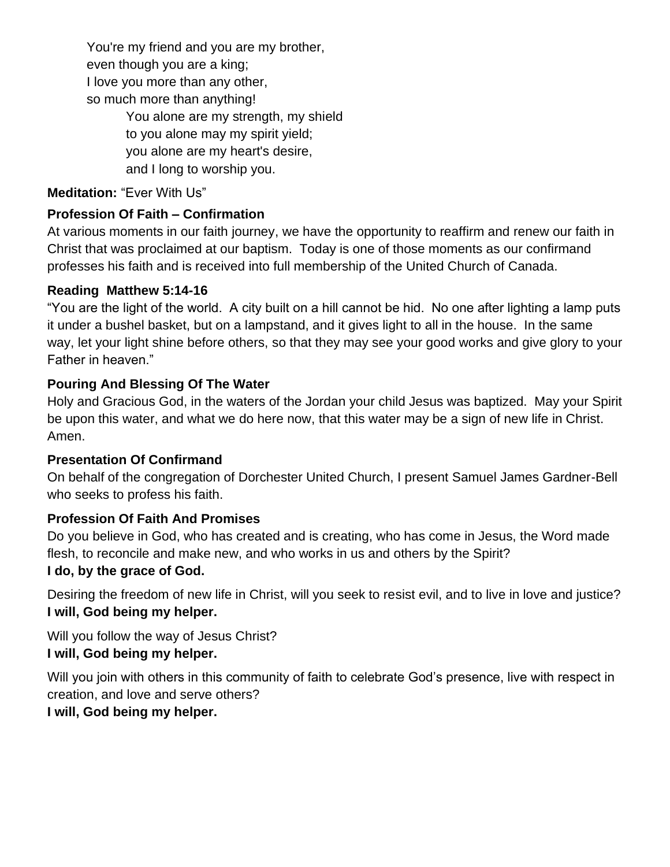You're my friend and you are my brother, even though you are a king; I love you more than any other, so much more than anything!

You alone are my strength, my shield to you alone may my spirit yield; you alone are my heart's desire, and I long to worship you.

#### **Meditation:** "Ever With Us"

## **Profession Of Faith – Confirmation**

At various moments in our faith journey, we have the opportunity to reaffirm and renew our faith in Christ that was proclaimed at our baptism. Today is one of those moments as our confirmand professes his faith and is received into full membership of the United Church of Canada.

#### **Reading Matthew 5:14-16**

"You are the light of the world. A city built on a hill cannot be hid. No one after lighting a lamp puts it under a bushel basket, but on a lampstand, and it gives light to all in the house. In the same way, let your light shine before others, so that they may see your good works and give glory to your Father in heaven."

## **Pouring And Blessing Of The Water**

Holy and Gracious God, in the waters of the Jordan your child Jesus was baptized. May your Spirit be upon this water, and what we do here now, that this water may be a sign of new life in Christ. Amen.

## **Presentation Of Confirmand**

On behalf of the congregation of Dorchester United Church, I present Samuel James Gardner-Bell who seeks to profess his faith.

## **Profession Of Faith And Promises**

Do you believe in God, who has created and is creating, who has come in Jesus, the Word made flesh, to reconcile and make new, and who works in us and others by the Spirit?

## **I do, by the grace of God.**

Desiring the freedom of new life in Christ, will you seek to resist evil, and to live in love and justice? **I will, God being my helper.**

Will you follow the way of Jesus Christ? **I will, God being my helper.**

Will you join with others in this community of faith to celebrate God's presence, live with respect in creation, and love and serve others?

## **I will, God being my helper.**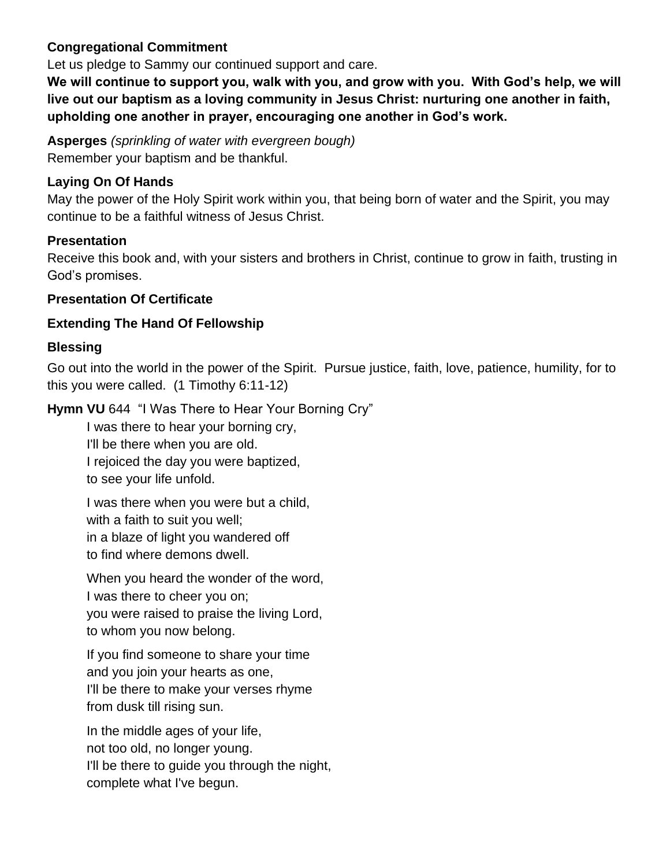#### **Congregational Commitment**

Let us pledge to Sammy our continued support and care.

**We will continue to support you, walk with you, and grow with you. With God's help, we will live out our baptism as a loving community in Jesus Christ: nurturing one another in faith, upholding one another in prayer, encouraging one another in God's work.**

**Asperges** *(sprinkling of water with evergreen bough)* Remember your baptism and be thankful.

#### **Laying On Of Hands**

May the power of the Holy Spirit work within you, that being born of water and the Spirit, you may continue to be a faithful witness of Jesus Christ.

#### **Presentation**

Receive this book and, with your sisters and brothers in Christ, continue to grow in faith, trusting in God's promises.

#### **Presentation Of Certificate**

## **Extending The Hand Of Fellowship**

#### **Blessing**

Go out into the world in the power of the Spirit. Pursue justice, faith, love, patience, humility, for to this you were called. (1 Timothy 6:11-12)

**Hymn VU** 644 "I Was There to Hear Your Borning Cry"

I was there to hear your borning cry, I'll be there when you are old. I rejoiced the day you were baptized, to see your life unfold.

I was there when you were but a child, with a faith to suit you well; in a blaze of light you wandered off to find where demons dwell.

When you heard the wonder of the word, I was there to cheer you on; you were raised to praise the living Lord, to whom you now belong.

If you find someone to share your time and you join your hearts as one, I'll be there to make your verses rhyme from dusk till rising sun.

In the middle ages of your life, not too old, no longer young. I'll be there to guide you through the night, complete what I've begun.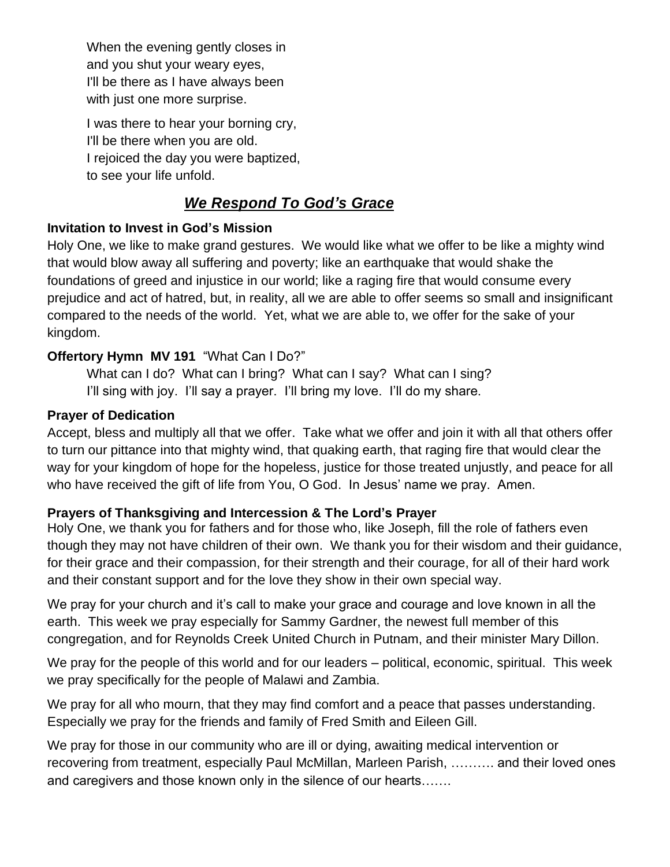When the evening gently closes in and you shut your weary eyes, I'll be there as I have always been with just one more surprise.

I was there to hear your borning cry, I'll be there when you are old. I rejoiced the day you were baptized, to see your life unfold.

# *We Respond To God's Grace*

## **Invitation to Invest in God's Mission**

Holy One, we like to make grand gestures. We would like what we offer to be like a mighty wind that would blow away all suffering and poverty; like an earthquake that would shake the foundations of greed and injustice in our world; like a raging fire that would consume every prejudice and act of hatred, but, in reality, all we are able to offer seems so small and insignificant compared to the needs of the world. Yet, what we are able to, we offer for the sake of your kingdom.

## **Offertory Hymn MV 191** "What Can I Do?"

What can I do? What can I bring? What can I say? What can I sing? I'll sing with joy. I'll say a prayer. I'll bring my love. I'll do my share.

#### **Prayer of Dedication**

Accept, bless and multiply all that we offer. Take what we offer and join it with all that others offer to turn our pittance into that mighty wind, that quaking earth, that raging fire that would clear the way for your kingdom of hope for the hopeless, justice for those treated unjustly, and peace for all who have received the gift of life from You, O God. In Jesus' name we pray. Amen.

## **Prayers of Thanksgiving and Intercession & The Lord's Prayer**

Holy One, we thank you for fathers and for those who, like Joseph, fill the role of fathers even though they may not have children of their own. We thank you for their wisdom and their guidance, for their grace and their compassion, for their strength and their courage, for all of their hard work and their constant support and for the love they show in their own special way.

We pray for your church and it's call to make your grace and courage and love known in all the earth. This week we pray especially for Sammy Gardner, the newest full member of this congregation, and for Reynolds Creek United Church in Putnam, and their minister Mary Dillon.

We pray for the people of this world and for our leaders – political, economic, spiritual. This week we pray specifically for the people of Malawi and Zambia.

We pray for all who mourn, that they may find comfort and a peace that passes understanding. Especially we pray for the friends and family of Fred Smith and Eileen Gill.

We pray for those in our community who are ill or dying, awaiting medical intervention or recovering from treatment, especially Paul McMillan, Marleen Parish, ………. and their loved ones and caregivers and those known only in the silence of our hearts…….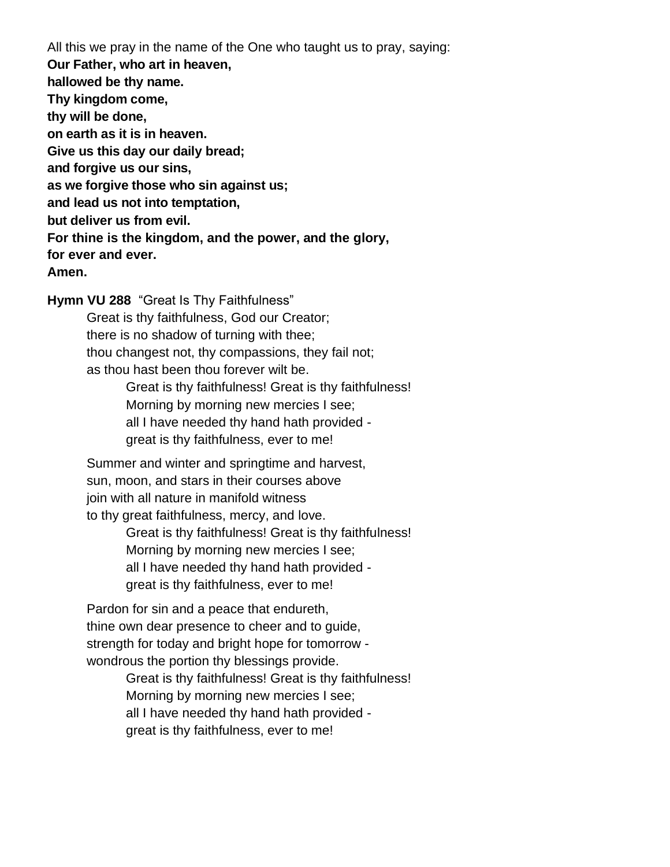All this we pray in the name of the One who taught us to pray, saying: **Our Father, who art in heaven, hallowed be thy name. Thy kingdom come, thy will be done, on earth as it is in heaven. Give us this day our daily bread; and forgive us our sins, as we forgive those who sin against us; and lead us not into temptation, but deliver us from evil. For thine is the kingdom, and the power, and the glory, for ever and ever. Amen.**

**Hymn VU 288** "Great Is Thy Faithfulness" Great is thy faithfulness, God our Creator; there is no shadow of turning with thee; thou changest not, thy compassions, they fail not; as thou hast been thou forever wilt be.

> Great is thy faithfulness! Great is thy faithfulness! Morning by morning new mercies I see; all I have needed thy hand hath provided great is thy faithfulness, ever to me!

Summer and winter and springtime and harvest, sun, moon, and stars in their courses above join with all nature in manifold witness to thy great faithfulness, mercy, and love.

Great is thy faithfulness! Great is thy faithfulness! Morning by morning new mercies I see; all I have needed thy hand hath provided great is thy faithfulness, ever to me!

Pardon for sin and a peace that endureth, thine own dear presence to cheer and to guide, strength for today and bright hope for tomorrow wondrous the portion thy blessings provide.

> Great is thy faithfulness! Great is thy faithfulness! Morning by morning new mercies I see; all I have needed thy hand hath provided great is thy faithfulness, ever to me!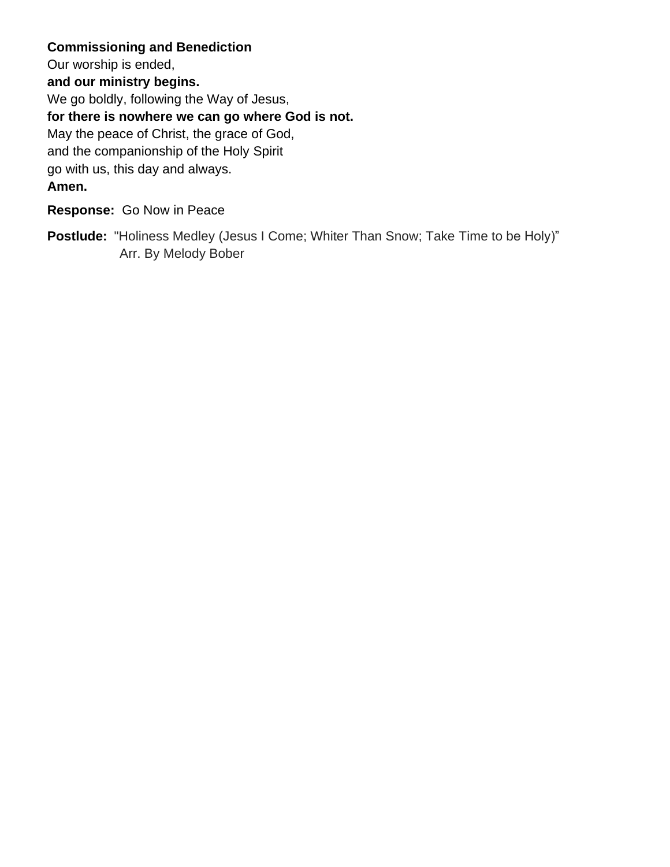## **Commissioning and Benediction**

Our worship is ended,

**and our ministry begins.**

We go boldly, following the Way of Jesus,

## **for there is nowhere we can go where God is not.**

May the peace of Christ, the grace of God,

and the companionship of the Holy Spirit

go with us, this day and always.

#### **Amen.**

**Response:** Go Now in Peace

**Postlude:** "Holiness Medley (Jesus I Come; Whiter Than Snow; Take Time to be Holy)" Arr. By Melody Bober